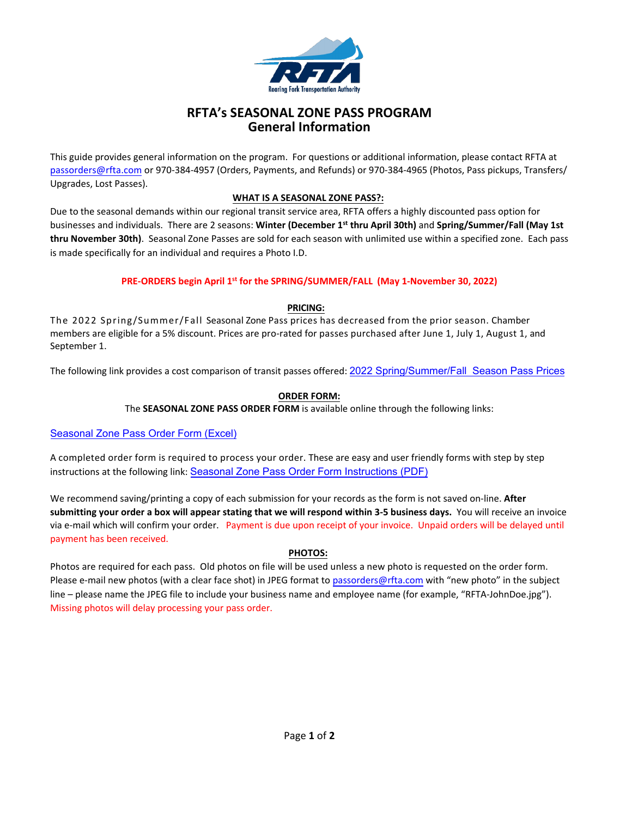

# **RFTA's SEASONAL ZONE PASS PROGRAM General Information**

This guide provides general information on the program. For questions or additional information, please contact RFTA at passorders@rfta.com or 970‐384‐4957 (Orders, Payments, and Refunds) or 970‐384‐4965 (Photos, Pass pickups, Transfers/ Upgrades, Lost Passes).

## **WHAT IS A SEASONAL ZONE PASS?:**

Due to the seasonal demands within our regional transit service area, RFTA offers a highly discounted pass option for businesses and individuals. There are 2 seasons: **Winter (December 1 st thru April 30th)** and **Spring/Summer/Fall (May 1st thru November 30th)**. Seasonal Zone Passes are sold for each season with unlimited use within a specified zone. Each pass is made specifically for an individual and requires a Photo I.D.

## **PRE‐ORDERS begin April 1 st for the SPRING/SUMMER/FALL (May 1‐November 30, 2022)**

## **PRICING:**

The 2022 Spring/Summer/Fall Seasonal Zone Pass prices has decreased from the prior season. Chamber members are eligible for a 5% discount. Prices are pro-rated for passes purchased after June 1, July 1, August 1, and September 1.

The following link provides a cost comparison of transit passes offered: 2022 [Spring/Summer/Fall Season](https://www.rfta.com/wp-content/uploads/2022/03/passprices-1.pdf) Pass Prices

## **ORDER FORM:**

The **SEASONAL ZONE PASS ORDER FORM** is available online through the following links:

## [Seasonal Zone Pass Order Form \(Excel\)](https://www.rfta.com/wp-content/uploads/2022/03/rftaseasonalorderpassform.xlsx)

A completed order form is required to process your order. These are easy and user friendly forms with step by step instructions at the following link: Seasonal [Zone Pass Order Form Instructions \(PDF\)](https://www.rfta.com/wp-content/uploads/2022/03/on-lineforminstructions-1.pdf)

We recommend saving/printing a copy of each submission for your records as the form is not saved on‐line. **After** submitting your order a box will appear stating that we will respond within 3-5 business days. You will receive an invoice via e‐mail which will confirm your order. Payment is due upon receipt of your invoice. Unpaid orders will be delayed until payment has been received.

## **PHOTOS:**

Photos are required for each pass. Old photos on file will be used unless a new photo is requested on the order form. Please e-mail new photos (with a clear face shot) in JPEG format to passorders@rfta.com with "new photo" in the subject line – please name the JPEG file to include your business name and employee name (for example, "RFTA‐JohnDoe.jpg"). Missing photos will delay processing your pass order.